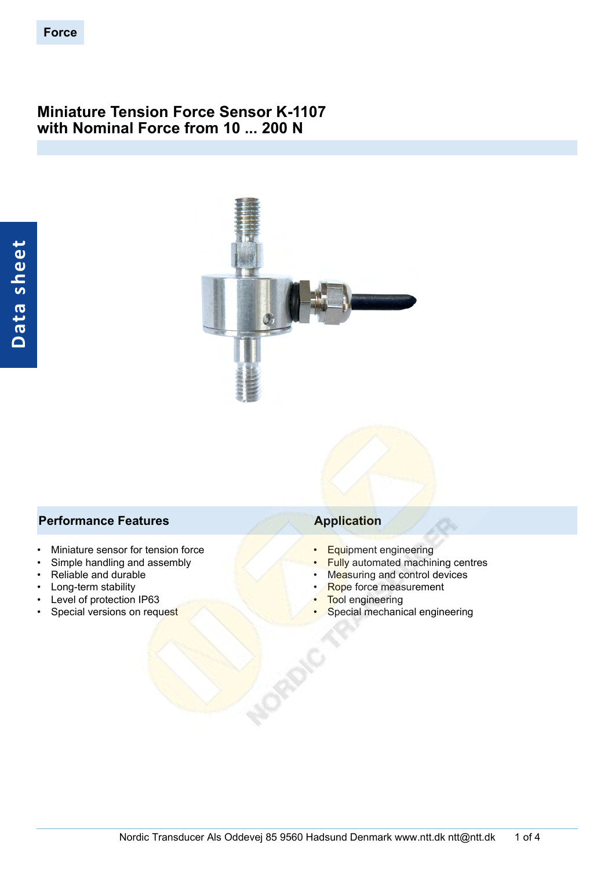## **Miniature Tension Force Sensor K-1107 with Nominal Force from 10 ... 200 N**



#### **Performance Features Application**

- Miniature sensor for tension force
- Simple handling and assembly
- Reliable and durable
- Long-term stability
- Level of protection IP63
- Special versions on request

- Equipment engineering
- **Fully** automated machining centres
- Measuring and control devices
- Rope force measurement
- **Tool engineering**
- Special mechanical engineering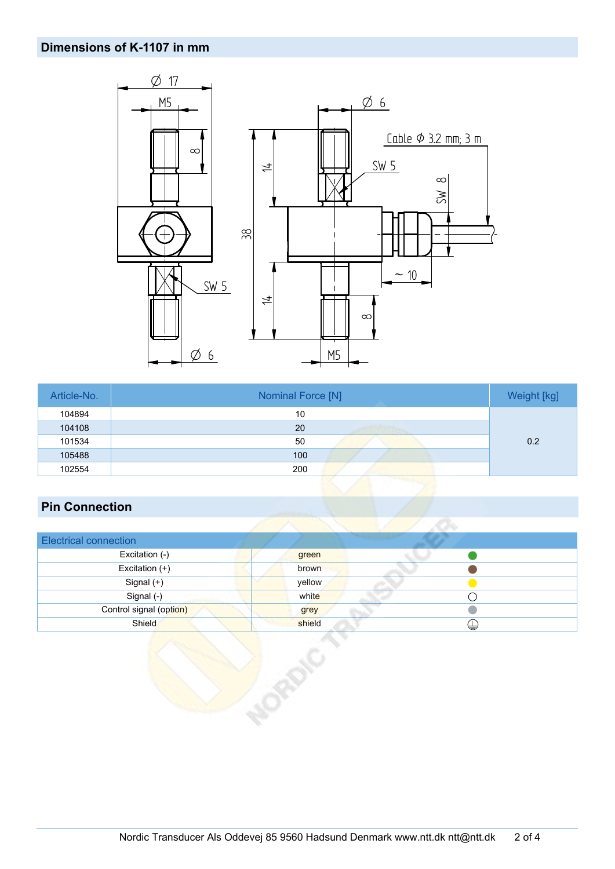## **Dimensions of K-1107 in mm**



| Article-No. | Nominal Force [N] | Weight [kg] |
|-------------|-------------------|-------------|
| 104894      | 10                |             |
| 104108      | 20                |             |
| 101534      | 50                | 0.2         |
| 105488      | 100               |             |
| 102554      | 200               |             |

# **Pin Connection**

| <b>Electrical connection</b> |        |   |  |
|------------------------------|--------|---|--|
| Excitation (-)               | green  |   |  |
| Excitation $(+)$             | brown  |   |  |
| Signal (+)                   | yellow |   |  |
| Signal (-)                   | white  |   |  |
| Control signal (option)      | grey   |   |  |
| Shield                       | shield | ⊌ |  |
|                              |        |   |  |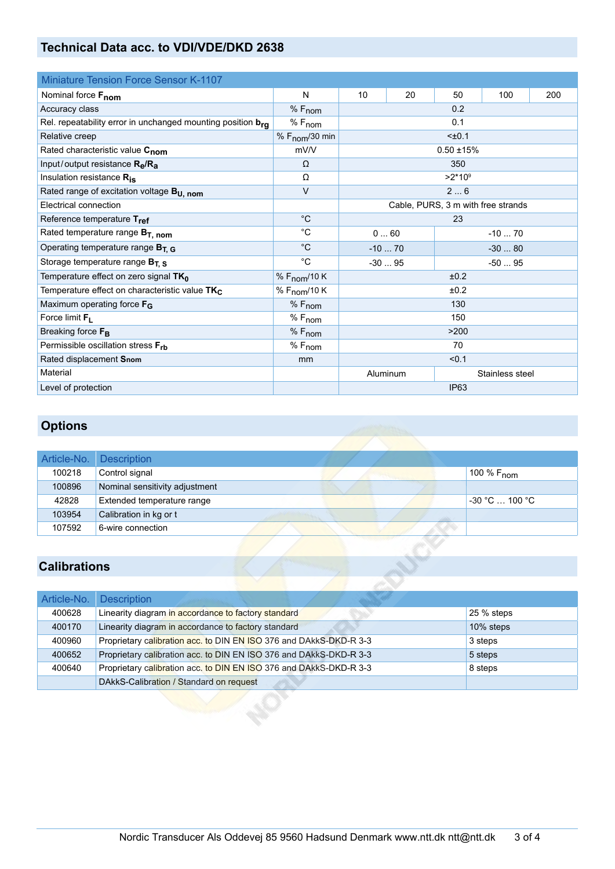## **Technical Data acc. to VDI/VDE/DKD 2638**

| <b>Miniature Tension Force Sensor K-1107</b>                |                            |                             |                    |              |                                    |     |  |  |
|-------------------------------------------------------------|----------------------------|-----------------------------|--------------------|--------------|------------------------------------|-----|--|--|
| Nominal force Fnom                                          | N                          | 10                          | 20                 | 50           | 100                                | 200 |  |  |
| Accuracy class                                              | $%F_{nom}$                 |                             |                    | 0.2          |                                    |     |  |  |
| Rel. repeatability error in unchanged mounting position bra | $%F_{nom}$                 |                             |                    | 0.1          |                                    |     |  |  |
| Relative creep                                              | % $F_{\text{nom}}$ /30 min |                             | $5 + 0.1$          |              |                                    |     |  |  |
| Rated characteristic value C <sub>nom</sub>                 | mV/V                       |                             |                    | $0.50 + 15%$ |                                    |     |  |  |
| Input/output resistance $R_{\rm e}/R_{\rm a}$               | $\Omega$                   |                             |                    | 350          |                                    |     |  |  |
| Insulation resistance Ris                                   | Ω                          |                             |                    | $>2*10^9$    |                                    |     |  |  |
| Rated range of excitation voltage B <sub>U, nom</sub>       | $\vee$                     |                             |                    | 26           |                                    |     |  |  |
| Electrical connection                                       |                            |                             |                    |              | Cable, PURS, 3 m with free strands |     |  |  |
| Reference temperature Tref                                  | $^{\circ}C$                |                             | 23                 |              |                                    |     |  |  |
| Rated temperature range $B_T$ , nom                         | $^{\circ}C$                | 060<br>$-1070$              |                    |              |                                    |     |  |  |
| Operating temperature range $B_{T, G}$                      | $^{\circ}C$                | $-1070$<br>$-3080$          |                    |              |                                    |     |  |  |
| Storage temperature range $B_{T, S}$                        | $^{\circ}C$                |                             | $-3095$<br>$-5095$ |              |                                    |     |  |  |
| Temperature effect on zero signal TK <sub>0</sub>           | % $F_{\text{nom}}$ /10 K   |                             | ±0.2               |              |                                    |     |  |  |
| Temperature effect on characteristic value TK <sub>C</sub>  | % F <sub>nom</sub> /10 K   | ±0.2                        |                    |              |                                    |     |  |  |
| Maximum operating force $F_G$                               | $%F_{nom}$                 | 130                         |                    |              |                                    |     |  |  |
| Force limit $F_L$                                           | $%F_{nom}$                 | 150                         |                    |              |                                    |     |  |  |
| Breaking force F <sub>B</sub>                               | % F <sub>nom</sub>         | >200                        |                    |              |                                    |     |  |  |
| Permissible oscillation stress $F_{rb}$                     | $%F_{nom}$                 |                             | 70                 |              |                                    |     |  |  |
| Rated displacement Snom                                     | mm                         | < 0.1                       |                    |              |                                    |     |  |  |
| Material                                                    |                            | Aluminum<br>Stainless steel |                    |              |                                    |     |  |  |
| Level of protection                                         |                            |                             |                    | <b>IP63</b>  |                                    |     |  |  |

# **Options**

|        | Article-No. Description        |  |  |                          |
|--------|--------------------------------|--|--|--------------------------|
| 100218 | Control signal                 |  |  | , 100 % F <sub>nom</sub> |
| 100896 | Nominal sensitivity adjustment |  |  |                          |
| 42828  | Extended temperature range     |  |  | $-30 °C \dots 100 °C$    |
| 103954 | Calibration in kg or t         |  |  |                          |
| 107592 | 6-wire connection              |  |  |                          |

# **Calibrations**

| Article-No. | <b>Description</b>                                                 |            |
|-------------|--------------------------------------------------------------------|------------|
| 400628      | Linearity diagram in accordance to factory standard                | 25 % steps |
| 400170      | Linearity diagram in accordance to factory standard                | 10% steps  |
| 400960      | Proprietary calibration acc. to DIN EN ISO 376 and DAkkS-DKD-R 3-3 | 3 steps    |
| 400652      | Proprietary calibration acc. to DIN EN ISO 376 and DAkkS-DKD-R 3-3 | 5 steps    |
| 400640      | Proprietary calibration acc. to DIN EN ISO 376 and DAkkS-DKD-R 3-3 | 8 steps    |
|             | DAkkS-Calibration / Standard on request                            |            |